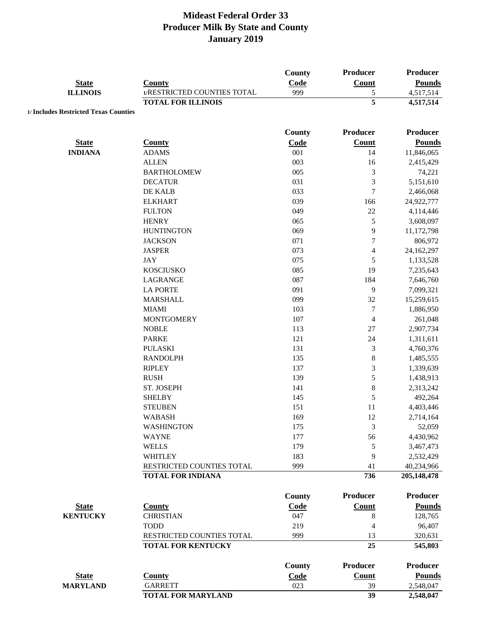| <b>State</b><br><b>ILLINOIS</b>       | <b>County</b><br>1/RESTRICTED COUNTIES TOTAL | <b>County</b><br>Code<br>999 | Producer<br>Count<br>5   | Producer<br><b>Pounds</b><br>4,517,514 |
|---------------------------------------|----------------------------------------------|------------------------------|--------------------------|----------------------------------------|
|                                       | <b>TOTAL FOR ILLINOIS</b>                    |                              | $\overline{\mathbf{5}}$  | 4,517,514                              |
| 1/ Includes Restricted Texas Counties |                                              |                              |                          |                                        |
|                                       |                                              |                              |                          |                                        |
|                                       |                                              | County                       | <b>Producer</b>          | <b>Producer</b>                        |
| <b>State</b>                          | <b>County</b>                                | Code                         | <b>Count</b>             | <b>Pounds</b>                          |
| <b>INDIANA</b>                        | <b>ADAMS</b>                                 | 001                          | 14                       | 11,846,065                             |
|                                       | <b>ALLEN</b>                                 | 003                          | 16                       | 2,415,429                              |
|                                       | <b>BARTHOLOMEW</b>                           | 005                          | $\mathfrak{Z}$           | 74,221                                 |
|                                       | <b>DECATUR</b>                               | 031                          | 3                        | 5,151,610                              |
|                                       | DE KALB                                      | 033                          | 7                        | 2,466,068                              |
|                                       | <b>ELKHART</b>                               | 039                          | 166                      | 24,922,777                             |
|                                       | <b>FULTON</b>                                | 049                          | $22\,$                   | 4,114,446                              |
|                                       | <b>HENRY</b>                                 | 065                          | 5                        | 3,608,097                              |
|                                       | <b>HUNTINGTON</b>                            | 069                          | $\mathbf{9}$             | 11,172,798                             |
|                                       | <b>JACKSON</b>                               | 071                          | $\tau$                   | 806,972                                |
|                                       | <b>JASPER</b>                                | 073                          | $\overline{\mathcal{L}}$ | 24,162,297                             |
|                                       | <b>JAY</b>                                   | 075                          | 5                        | 1,133,528                              |
|                                       | <b>KOSCIUSKO</b>                             | 085                          | 19                       | 7,235,643                              |
|                                       | LAGRANGE                                     | 087                          | 184                      | 7,646,760                              |
|                                       | <b>LA PORTE</b>                              | 091                          | 9                        | 7,099,321                              |
|                                       | <b>MARSHALL</b>                              | 099                          | 32                       | 15,259,615                             |
|                                       | <b>MIAMI</b>                                 | 103                          | $\boldsymbol{7}$         | 1,886,950                              |
|                                       | <b>MONTGOMERY</b>                            | 107                          | $\overline{4}$           | 261,048                                |
|                                       | <b>NOBLE</b>                                 | 113                          | 27                       | 2,907,734                              |
|                                       | <b>PARKE</b>                                 | 121                          | 24                       | 1,311,611                              |
|                                       | <b>PULASKI</b>                               | 131                          | 3                        | 4,760,376                              |
|                                       | <b>RANDOLPH</b>                              | 135                          | $\,8\,$                  | 1,485,555                              |
|                                       | <b>RIPLEY</b>                                | 137                          | 3                        | 1,339,639                              |
|                                       | <b>RUSH</b>                                  | 139                          | 5                        | 1,438,913                              |
|                                       | ST. JOSEPH                                   | 141                          | $\,8\,$                  | 2,313,242                              |
|                                       | <b>SHELBY</b>                                | 145                          | 5                        | 492,264                                |
|                                       | <b>STEUBEN</b>                               | 151                          | 11                       | 4,403,446                              |
|                                       | <b>WABASH</b>                                | 169                          | 12                       | 2,714,164                              |
|                                       | <b>WASHINGTON</b>                            | 175                          | 3                        | 52,059                                 |
|                                       | <b>WAYNE</b>                                 | 177                          | 56                       | 4,430,962                              |
|                                       | <b>WELLS</b>                                 | 179                          | 5                        | 3,467,473                              |
|                                       | <b>WHITLEY</b>                               | 183                          | 9                        | 2,532,429                              |
|                                       | RESTRICTED COUNTIES TOTAL                    | 999                          | 41                       | 40,234,966                             |
|                                       | <b>TOTAL FOR INDIANA</b>                     |                              | 736                      | 205,148,478                            |
|                                       |                                              |                              |                          |                                        |
|                                       |                                              | County                       | <b>Producer</b>          | <b>Producer</b>                        |
| <b>State</b>                          | <b>County</b>                                | Code                         | <b>Count</b>             | <b>Pounds</b>                          |
| <b>KENTUCKY</b>                       | <b>CHRISTIAN</b>                             | 047                          | 8                        | 128,765                                |
|                                       | <b>TODD</b>                                  | 219                          | $\overline{4}$           | 96,407                                 |
|                                       | RESTRICTED COUNTIES TOTAL                    | 999                          | 13                       | 320,631                                |
|                                       | <b>TOTAL FOR KENTUCKY</b>                    |                              | 25                       | 545,803                                |
|                                       |                                              | <b>County</b>                | <b>Producer</b>          | <b>Producer</b>                        |
| <b>State</b>                          | <b>County</b>                                | Code                         | Count                    | <b>Pounds</b>                          |
| <b>MARYLAND</b>                       | <b>GARRETT</b>                               | 023                          | 39                       | 2,548,047                              |
|                                       | <b>TOTAL FOR MARYLAND</b>                    |                              | 39                       | $\overline{2,548,047}$                 |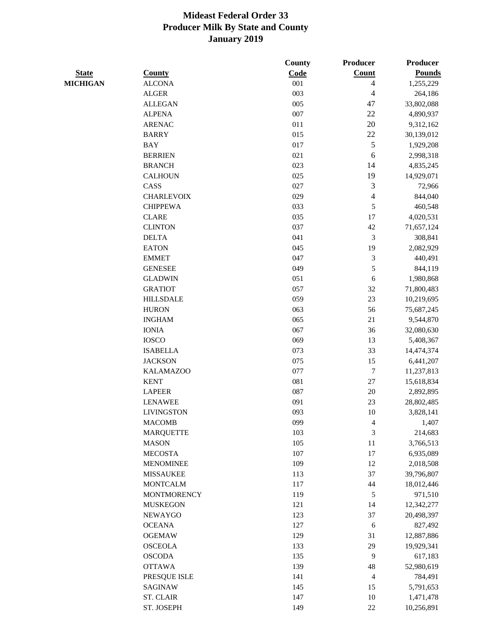|                 |                    | <b>County</b> | <b>Producer</b> | Producer      |
|-----------------|--------------------|---------------|-----------------|---------------|
| <b>State</b>    | <b>County</b>      | Code          | Count           | <b>Pounds</b> |
| <b>MICHIGAN</b> | <b>ALCONA</b>      | 001           | $\overline{4}$  | 1,255,229     |
|                 | <b>ALGER</b>       | 003           | 4               | 264,186       |
|                 | <b>ALLEGAN</b>     | 005           | 47              | 33,802,088    |
|                 | <b>ALPENA</b>      | 007           | 22              | 4,890,937     |
|                 | <b>ARENAC</b>      | 011           | 20              | 9,312,162     |
|                 | <b>BARRY</b>       | 015           | 22              | 30,139,012    |
|                 | <b>BAY</b>         | 017           | 5               | 1,929,208     |
|                 | <b>BERRIEN</b>     | 021           | 6               | 2,998,318     |
|                 | <b>BRANCH</b>      | 023           | 14              | 4,835,245     |
|                 | <b>CALHOUN</b>     | 025           | 19              | 14,929,071    |
|                 | CASS               | 027           | 3               | 72,966        |
|                 | <b>CHARLEVOIX</b>  | 029           | $\overline{4}$  | 844,040       |
|                 | <b>CHIPPEWA</b>    | 033           | $\sqrt{5}$      | 460,548       |
|                 | <b>CLARE</b>       | 035           | 17              | 4,020,531     |
|                 | <b>CLINTON</b>     | 037           | $42\,$          | 71,657,124    |
|                 | <b>DELTA</b>       | 041           | 3               | 308,841       |
|                 | <b>EATON</b>       | 045           | 19              | 2,082,929     |
|                 | <b>EMMET</b>       | 047           | $\mathfrak{Z}$  | 440,491       |
|                 | <b>GENESEE</b>     | 049           | 5               | 844,119       |
|                 | <b>GLADWIN</b>     | 051           | 6               | 1,980,868     |
|                 | <b>GRATIOT</b>     | 057           | 32              | 71,800,483    |
|                 | <b>HILLSDALE</b>   | 059           | 23              | 10,219,695    |
|                 | <b>HURON</b>       | 063           | 56              | 75,687,245    |
|                 | <b>INGHAM</b>      | 065           | 21              | 9,544,870     |
|                 | <b>IONIA</b>       | 067           | 36              | 32,080,630    |
|                 | <b>IOSCO</b>       | 069           | 13              | 5,408,367     |
|                 | <b>ISABELLA</b>    | 073           | 33              | 14,474,374    |
|                 | <b>JACKSON</b>     | 075           | 15              | 6,441,207     |
|                 | <b>KALAMAZOO</b>   | 077           | 7               | 11,237,813    |
|                 | <b>KENT</b>        | 081           | $27\,$          | 15,618,834    |
|                 | <b>LAPEER</b>      | 087           | $20\,$          | 2,892,895     |
|                 | <b>LENAWEE</b>     | 091           | 23              | 28,802,485    |
|                 | <b>LIVINGSTON</b>  | 093           | 10              | 3,828,141     |
|                 | <b>MACOMB</b>      | 099           | $\overline{4}$  | 1,407         |
|                 | <b>MARQUETTE</b>   | 103           | 3               | 214,683       |
|                 | <b>MASON</b>       | 105           | 11              | 3,766,513     |
|                 | <b>MECOSTA</b>     | 107           | 17              | 6,935,089     |
|                 | <b>MENOMINEE</b>   | 109           | 12              | 2,018,508     |
|                 | <b>MISSAUKEE</b>   | 113           | 37              | 39,796,807    |
|                 | <b>MONTCALM</b>    | 117           | 44              | 18,012,446    |
|                 | <b>MONTMORENCY</b> | 119           | $\sqrt{5}$      | 971,510       |
|                 | <b>MUSKEGON</b>    | 121           | 14              | 12,342,277    |
|                 | <b>NEWAYGO</b>     | 123           | 37              | 20,498,397    |
|                 | <b>OCEANA</b>      | 127           | 6               | 827,492       |
|                 | <b>OGEMAW</b>      | 129           | 31              | 12,887,886    |
|                 | <b>OSCEOLA</b>     | 133           | 29              | 19,929,341    |
|                 | <b>OSCODA</b>      | 135           | 9               | 617,183       |
|                 | <b>OTTAWA</b>      | 139           | $\sqrt{48}$     | 52,980,619    |
|                 | PRESQUE ISLE       | 141           | $\overline{4}$  | 784,491       |
|                 | <b>SAGINAW</b>     | 145           | 15              | 5,791,653     |
|                 | <b>ST. CLAIR</b>   | 147           | 10              | 1,471,478     |
|                 | ST. JOSEPH         | 149           | $22\,$          | 10,256,891    |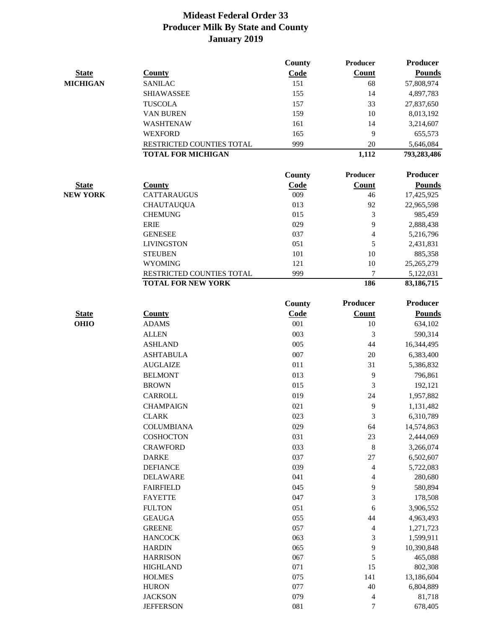|                 |                                | County     | Producer        | <b>Producer</b>         |
|-----------------|--------------------------------|------------|-----------------|-------------------------|
| <b>State</b>    | <b>County</b>                  | Code       | Count           | <b>Pounds</b>           |
| <b>MICHIGAN</b> | <b>SANILAC</b>                 | 151        | 68              | 57,808,974              |
|                 | <b>SHIAWASSEE</b>              | 155        | 14              | 4,897,783               |
|                 | <b>TUSCOLA</b>                 | 157        | 33              | 27,837,650              |
|                 | <b>VAN BUREN</b>               | 159        | 10              | 8,013,192               |
|                 | WASHTENAW                      | 161        | 14              | 3,214,607               |
|                 | <b>WEXFORD</b>                 | 165        | 9               | 655,573                 |
|                 | RESTRICTED COUNTIES TOTAL      | 999        | $20\,$          | 5,646,084               |
|                 | <b>TOTAL FOR MICHIGAN</b>      |            | 1,112           | 793,283,486             |
|                 |                                | County     | <b>Producer</b> | Producer                |
| <b>State</b>    | <b>County</b>                  | Code       | Count           | <b>Pounds</b>           |
| <b>NEW YORK</b> | <b>CATTARAUGUS</b>             | 009        | 46              | 17,425,925              |
|                 | <b>CHAUTAUQUA</b>              | 013        | 92              | 22,965,598              |
|                 | <b>CHEMUNG</b>                 | 015        | 3               | 985,459                 |
|                 | <b>ERIE</b>                    | 029        | 9               | 2,888,438               |
|                 | <b>GENESEE</b>                 | 037        | 4               | 5,216,796               |
|                 | <b>LIVINGSTON</b>              | 051        | 5               | 2,431,831               |
|                 | <b>STEUBEN</b>                 | 101        | 10              | 885,358                 |
|                 | <b>WYOMING</b>                 | 121        | 10              | 25,265,279              |
|                 | RESTRICTED COUNTIES TOTAL      | 999        | 7               | 5,122,031               |
|                 | <b>TOTAL FOR NEW YORK</b>      |            | 186             | 83,186,715              |
|                 |                                | County     | <b>Producer</b> | Producer                |
| <b>State</b>    | <b>County</b>                  | Code       | <b>Count</b>    | <b>Pounds</b>           |
| <b>OHIO</b>     | <b>ADAMS</b>                   | 001        | 10              | 634,102                 |
|                 | <b>ALLEN</b>                   | 003        | 3               | 590,314                 |
|                 | <b>ASHLAND</b>                 | 005        | 44              | 16,344,495              |
|                 | <b>ASHTABULA</b>               | 007        | 20              | 6,383,400               |
|                 | <b>AUGLAIZE</b>                | 011        | 31              | 5,386,832               |
|                 | <b>BELMONT</b>                 | 013        | 9               | 796,861                 |
|                 | <b>BROWN</b>                   | 015        | 3               | 192,121                 |
|                 | <b>CARROLL</b>                 | 019        | 24              | 1,957,882               |
|                 | <b>CHAMPAIGN</b>               | 021        | 9               | 1,131,482               |
|                 | <b>CLARK</b>                   | 023        | 3               | 6,310,789               |
|                 | <b>COLUMBIANA</b>              | 029        | 64              | 14,574,863              |
|                 | <b>COSHOCTON</b>               | 031        | 23              | 2,444,069               |
|                 | <b>CRAWFORD</b>                | 033        | $\,8\,$         | 3,266,074               |
|                 | <b>DARKE</b>                   | 037        | 27              | 6,502,607               |
|                 | <b>DEFIANCE</b>                | 039        | 4               | 5,722,083               |
|                 | <b>DELAWARE</b>                | 041        | 4               | 280,680                 |
|                 | <b>FAIRFIELD</b>               | 045        | 9               | 580,894                 |
|                 | <b>FAYETTE</b>                 | 047        | 3               | 178,508                 |
|                 | <b>FULTON</b>                  | 051        |                 |                         |
|                 |                                |            | 6               | 3,906,552               |
|                 | <b>GEAUGA</b><br><b>GREENE</b> | 055<br>057 | 44              | 4,963,493               |
|                 | <b>HANCOCK</b>                 | 063        | 4<br>3          | 1,271,723               |
|                 | <b>HARDIN</b>                  | 065        | 9               | 1,599,911<br>10,390,848 |
|                 | <b>HARRISON</b>                | 067        | 5               | 465,088                 |
|                 | <b>HIGHLAND</b>                | 071        | 15              | 802,308                 |
|                 | <b>HOLMES</b>                  | 075        | 141             | 13,186,604              |
|                 | <b>HURON</b>                   | 077        | 40              | 6,804,889               |
|                 | <b>JACKSON</b>                 | 079        | 4               | 81,718                  |
|                 | <b>JEFFERSON</b>               | 081        | 7               | 678,405                 |
|                 |                                |            |                 |                         |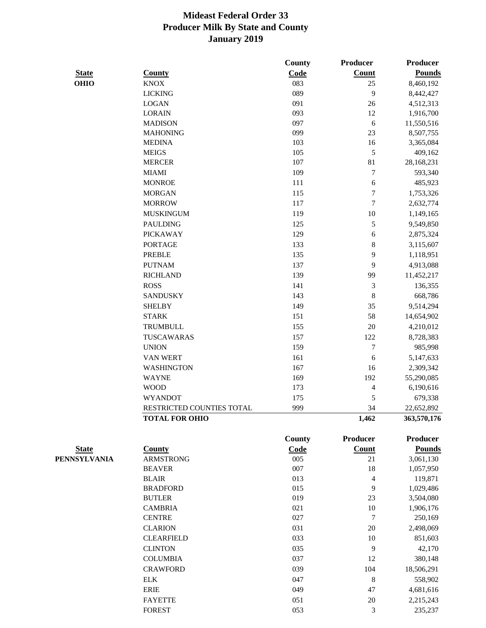|                     |                           | County        | Producer         | Producer      |
|---------------------|---------------------------|---------------|------------------|---------------|
| <b>State</b>        | <b>County</b>             | Code          | Count            | <b>Pounds</b> |
| <b>OHIO</b>         | <b>KNOX</b>               | 083           | 25               | 8,460,192     |
|                     | <b>LICKING</b>            | 089           | 9                | 8,442,427     |
|                     | <b>LOGAN</b>              | 091           | 26               | 4,512,313     |
|                     | <b>LORAIN</b>             | 093           | 12               | 1,916,700     |
|                     | <b>MADISON</b>            | 097           | 6                | 11,550,516    |
|                     | <b>MAHONING</b>           | 099           | 23               | 8,507,755     |
|                     | <b>MEDINA</b>             | 103           | 16               | 3,365,084     |
|                     | <b>MEIGS</b>              | 105           | 5                | 409,162       |
|                     | <b>MERCER</b>             | 107           | 81               | 28,168,231    |
|                     | <b>MIAMI</b>              | 109           | $\boldsymbol{7}$ | 593,340       |
|                     | <b>MONROE</b>             | 111           | $\boldsymbol{6}$ | 485,923       |
|                     | <b>MORGAN</b>             | 115           | $\boldsymbol{7}$ | 1,753,326     |
|                     | <b>MORROW</b>             | 117           | $\boldsymbol{7}$ | 2,632,774     |
|                     | <b>MUSKINGUM</b>          | 119           | 10               | 1,149,165     |
|                     | <b>PAULDING</b>           | 125           | 5                | 9,549,850     |
|                     | <b>PICKAWAY</b>           | 129           | 6                | 2,875,324     |
|                     | <b>PORTAGE</b>            | 133           | 8                | 3,115,607     |
|                     | <b>PREBLE</b>             | 135           | 9                | 1,118,951     |
|                     | <b>PUTNAM</b>             | 137           | 9                | 4,913,088     |
|                     | <b>RICHLAND</b>           | 139           | 99               | 11,452,217    |
|                     | <b>ROSS</b>               | 141           | $\mathfrak{Z}$   | 136,355       |
|                     | <b>SANDUSKY</b>           | 143           | $\,$ 8 $\,$      | 668,786       |
|                     | <b>SHELBY</b>             | 149           | 35               | 9,514,294     |
|                     | <b>STARK</b>              | 151           | 58               | 14,654,902    |
|                     | <b>TRUMBULL</b>           | 155           | 20               | 4,210,012     |
|                     | TUSCAWARAS                | 157           | 122              | 8,728,383     |
|                     | <b>UNION</b>              | 159           | $\tau$           | 985,998       |
|                     | <b>VAN WERT</b>           | 161           | $\sqrt{6}$       | 5,147,633     |
|                     | <b>WASHINGTON</b>         | 167           | 16               | 2,309,342     |
|                     | <b>WAYNE</b>              | 169           | 192              | 55,290,085    |
|                     | <b>WOOD</b>               | 173           | 4                | 6,190,616     |
|                     | <b>WYANDOT</b>            | 175           | 5                | 679,338       |
|                     | RESTRICTED COUNTIES TOTAL | 999           | 34               | 22,652,892    |
|                     | <b>TOTAL FOR OHIO</b>     |               | 1,462            | 363,570,176   |
|                     |                           | <b>County</b> | Producer         | Producer      |
| <b>State</b>        | <b>County</b>             | Code          | Count            | <b>Pounds</b> |
| <b>PENNSYLVANIA</b> | <b>ARMSTRONG</b>          | 005           | 21               | 3,061,130     |
|                     | <b>BEAVER</b>             | 007           | 18               | 1,057,950     |
|                     | <b>BLAIR</b>              | 013           | $\overline{4}$   | 119,871       |
|                     | <b>BRADFORD</b>           | 015           | 9                | 1,029,486     |
|                     | <b>BUTLER</b>             | 019           | 23               | 3,504,080     |
|                     | <b>CAMBRIA</b>            | 021           | 10               | 1,906,176     |
|                     | <b>CENTRE</b>             | 027           | $\overline{7}$   | 250,169       |
|                     | <b>CLARION</b>            | 031           | $20\,$           | 2,498,069     |
|                     | <b>CLEARFIELD</b>         | 033           | 10               | 851,603       |
|                     | <b>CLINTON</b>            | 035           | 9                | 42,170        |
|                     | <b>COLUMBIA</b>           | 037           | 12               | 380,148       |
|                     | <b>CRAWFORD</b>           | 039           | 104              | 18,506,291    |
|                     | ${\rm ELK}$               | 047           | $\,8\,$          | 558,902       |
|                     | <b>ERIE</b>               | 049           | 47               | 4,681,616     |
|                     | <b>FAYETTE</b>            | 051           | 20               | 2,215,243     |

FOREST 235,237